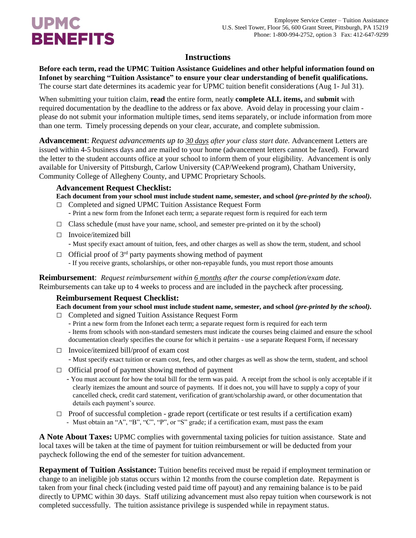# **UPMC BENEFITS**

### **Instructions**

**Before each term, read the UPMC Tuition Assistance Guidelines and other helpful information found on Infonet by searching "Tuition Assistance" to ensure your clear understanding of benefit qualifications.**  The course start date determines its academic year for UPMC tuition benefit considerations (Aug 1- Jul 31).

When submitting your tuition claim, **read** the entire form, neatly **complete ALL items,** and **submit** with required documentation by the deadline to the address or fax above. Avoid delay in processing your claim please do not submit your information multiple times, send items separately, or include information from more than one term. Timely processing depends on your clear, accurate, and complete submission.

**Advancement**: *Request advancements up to 30 days after your class start date.* Advancement Letters are issued within 4-5 business days and are mailed to your home (advancement letters cannot be faxed). Forward the letter to the student accounts office at your school to inform them of your eligibility. Advancement is only available for University of Pittsburgh, Carlow University (CAP/Weekend program), Chatham University, Community College of Allegheny County, and UPMC Proprietary Schools.

#### **Advancement Request Checklist:**

**Each document from your school must include student name, semester, and school** *(pre-printed by the school)***.** 

- **□** Completed and signed UPMC Tuition Assistance Request Form - Print a new form from the Infonet each term; a separate request form is required for each term
- **□** Class schedule (must have your name, school, and semester pre-printed on it by the school)
- **□** Invoice/itemized bill - Must specify exact amount of tuition, fees, and other charges as well as show the term, student, and school
- **□** Official proof of 3rd party payments showing method of payment - If you receive grants, scholarships, or other non-repayable funds, you must report those amounts

**Reimbursement**: *Request reimbursement within 6 months after the course completion/exam date.* Reimbursements can take up to 4 weeks to process and are included in the paycheck after processing.

### **Reimbursement Request Checklist:**

**Each document from your school must include student name, semester, and school** *(pre-printed by the school)***.** 

- **□** Completed and signed Tuition Assistance Request Form
	- Print a new form from the Infonet each term; a separate request form is required for each term
	- Items from schools with non-standard semesters must indicate the courses being claimed and ensure the school documentation clearly specifies the course for which it pertains - use a separate Request Form, if necessary
- **□** Invoice/itemized bill/proof of exam cost
	- Must specify exact tuition or exam cost, fees, and other charges as well as show the term, student, and school
- **□** Official proof of payment showing method of payment
	- You must account for how the total bill for the term was paid. A receipt from the school is only acceptable if it clearly itemizes the amount and source of payments. If it does not, you will have to supply a copy of your cancelled check, credit card statement, verification of grant/scholarship award, or other documentation that details each payment's source.
- □ Proof of successful completion grade report (certificate or test results if a certification exam) - Must obtain an "A", "B", "C", "P", or "S" grade; if a certification exam, must pass the exam

**A Note About Taxes:** UPMC complies with governmental taxing policies for tuition assistance. State and local taxes will be taken at the time of payment for tuition reimbursement or will be deducted from your paycheck following the end of the semester for tuition advancement.

**Repayment of Tuition Assistance:** Tuition benefits received must be repaid if employment termination or change to an ineligible job status occurs within 12 months from the course completion date. Repayment is taken from your final check (including vested paid time off payout) and any remaining balance is to be paid directly to UPMC within 30 days. Staff utilizing advancement must also repay tuition when coursework is not completed successfully. The tuition assistance privilege is suspended while in repayment status.